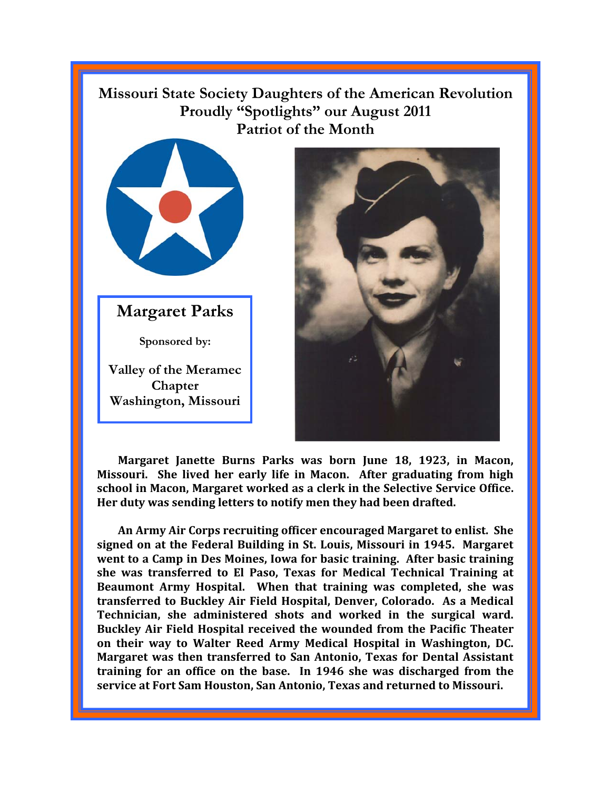## **Missouri State Society Daughters of the American Revolution Proudly "Spotlights" our August 2011 Patriot of the Month**



**Margaret Parks** 

**Sponsored by:** 

**Valley of the Meramec Chapter Washington, Missouri** 



**Margaret Janette Burns Parks was born June 18, 1923, in Macon, Missouri. She lived her early life in Macon. After graduating from high school in Macon, Margaret worked as a clerk in the Selective Service Office. Her duty was sending letters to notify men they had been drafted.** 

**An Army Air Corps recruiting officer encouraged Margaret to enlist. She signed on at the Federal Building in St. Louis, Missouri in 1945. Margaret went to a Camp in Des Moines, Iowa for basic training. After basic training she was transferred to El Paso, Texas for Medical Technical Training at Beaumont Army Hospital. When that training was completed, she was transferred to Buckley Air Field Hospital, Denver, Colorado. As a Medical Technician, she administered shots and worked in the surgical ward. Buckley Air Field Hospital received the wounded from the Pacific Theater on their way to Walter Reed Army Medical Hospital in Washington, DC. Margaret was then transferred to San Antonio, Texas for Dental Assistant training for an office on the base. In 1946 she was discharged from the service at Fort Sam Houston, San Antonio, Texas and returned to Missouri.**